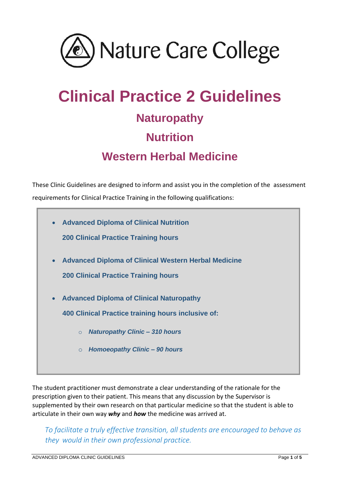

# **Clinical Practice 2 Guidelines Naturopathy Nutrition Western Herbal Medicine**

These Clinic Guidelines are designed to inform and assist you in the completion of the assessment requirements for Clinical Practice Training in the following qualifications:



The student practitioner must demonstrate a clear understanding of the rationale for the prescription given to their patient. This means that any discussion by the Supervisor is supplemented by their own research on that particular medicine so that the student is able to articulate in their own way *why* and *how* the medicine was arrived at.

*To facilitate a truly effective transition, all students are encouraged to behave as they would in their own professional practice.*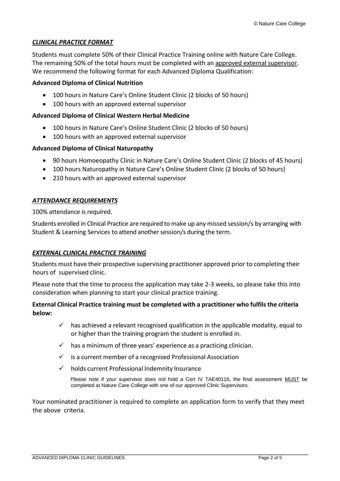## *CLINICAL PRACTICE FORMAT*

Students must complete 50% of their Clinical Practice Training online with Nature Care College. The remaining 50% of the total hours must be completed with an approved external supervisor. We recommend the following format for each Advanced Diploma Qualification:

## **Advanced Diploma of Clinical Nutrition**

- 100 hours in Nature Care's Online Student Clinic (2 blocks of 50 hours)
- 100 hours with an approved external supervisor

#### **Advanced Diploma of Clinical Western Herbal Medicine**

- 100 hours in Nature Care's Online Student Clinic (2 blocks of 50 hours)
- 100 hours with an approved external supervisor

#### **Advanced Diploma of Clinical Naturopathy**

- 90 hours Homoeopathy Clinic in Nature Care's Online Student Clinic (2 blocks of 45 hours)
- 100 hours Naturopathy in Nature Care's Online Student Clinic (2 blocks of 50 hours)
- 210 hours with an approved external supervisor

#### *ATTENDANCE REQUIREMENTS*

100% attendance is required.

Students enrolled in Clinical Practice are required to make up any missed session/s by arranging with Student & Learning Services to attend another session/s during the term.

## *EXTERNAL CLINICAL PRACTICE TRAINING*

Students must have their prospective supervising practitioner approved prior to completing their hours of supervised clinic.

Please note that the time to process the application may take 2-3 weeks, so please take this into consideration when planning to start your clinical practice training.

## **External Clinical Practice training must be completed with a practitioner who fulfils the criteria below:**

- $\checkmark$  has achieved a relevant recognised qualification in the applicable modality, equal to or higher than the training program the student is enrolled in.
- $\checkmark$  has a minimum of three years' experience as a practicing clinician.
- ✓ is a current member of a recognised Professional Association
- $\checkmark$  holds current Professional Indemnity Insurance

Please note if your supervisor does not hold a Cert IV TAE40116, the final assessment MUST be completed at Nature Care College with one of our approved Clinic Supervisors.

Your nominated practitioner is required to complete an application form to verify that they meet the above criteria.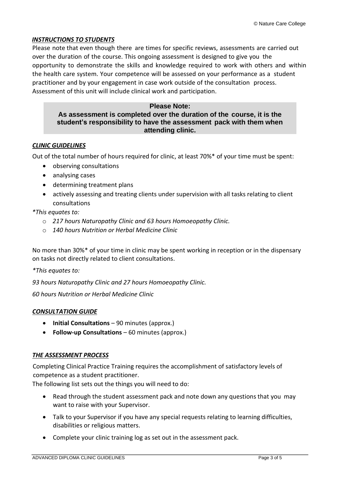## *INSTRUCTIONS TO STUDENTS*

Please note that even though there are times for specific reviews, assessments are carried out over the duration of the course. This ongoing assessment is designed to give you the opportunity to demonstrate the skills and knowledge required to work with others and within the health care system. Your competence will be assessed on your performance as a student practitioner and by your engagement in case work outside of the consultation process. Assessment of this unit will include clinical work and participation.

#### **Please Note:**

## **As assessment is completed over the duration of the course, it is the student's responsibility to have the assessment pack with them when attending clinic.**

#### *CLINIC GUIDELINES*

Out of the total number of hours required for clinic, at least 70%\* of your time must be spent:

- observing consultations
- analysing cases
- determining treatment plans
- actively assessing and treating clients under supervision with all tasks relating to client consultations

*\*This equates to:*

- o *217 hours Naturopathy Clinic and 63 hours Homoeopathy Clinic.*
- o *140 hours Nutrition or Herbal Medicine Clinic*

No more than 30%\* of your time in clinic may be spent working in reception or in the dispensary on tasks not directly related to client consultations.

*\*This equates to:*

*93 hours Naturopathy Clinic and 27 hours Homoeopathy Clinic.*

*60 hours Nutrition or Herbal Medicine Clinic*

#### *CONSULTATION GUIDE*

- **Initial Consultations**  90 minutes (approx.)
- **Follow-up Consultations** 60 minutes (approx.)

#### *THE ASSESSMENT PROCESS*

Completing Clinical Practice Training requires the accomplishment of satisfactory levels of competence as a student practitioner.

The following list sets out the things you will need to do:

- Read through the student assessment pack and note down any questions that you may want to raise with your Supervisor.
- Talk to your Supervisor if you have any special requests relating to learning difficulties, disabilities or religious matters.
- Complete your clinic training log as set out in the assessment pack.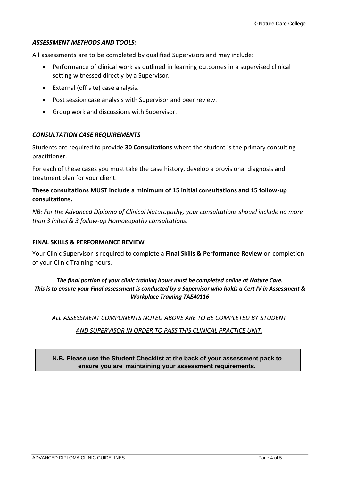## *ASSESSMENT METHODS AND TOOLS:*

All assessments are to be completed by qualified Supervisors and may include:

- Performance of clinical work as outlined in learning outcomes in a supervised clinical setting witnessed directly by a Supervisor.
- External (off site) case analysis.
- Post session case analysis with Supervisor and peer review.
- Group work and discussions with Supervisor.

## *CONSULTATION CASE REQUIREMENTS*

Students are required to provide **30 Consultations** where the student is the primary consulting practitioner.

For each of these cases you must take the case history, develop a provisional diagnosis and treatment plan for your client.

## **These consultations MUST include a minimum of 15 initial consultations and 15 follow-up consultations.**

*NB: For the Advanced Diploma of Clinical Naturopathy, your consultations should include no more than 3 initial & 3 follow-up Homoeopathy consultations.*

#### **FINAL SKILLS & PERFORMANCE REVIEW**

Your Clinic Supervisor is required to complete a **Final Skills & Performance Review** on completion of your Clinic Training hours.

## *The final portion of your clinic training hours must be completed online at Nature Care. This is to ensure your Final assessment is conducted by a Supervisor who holds a Cert IV in Assessment & Workplace Training TAE40116*

*ALL ASSESSMENT COMPONENTS NOTED ABOVE ARE TO BE COMPLETED BY STUDENT*

#### *AND SUPERVISOR IN ORDER TO PASS THIS CLINICAL PRACTICE UNIT.*

## **N.B. Please use the Student Checklist at the back of your assessment pack to ensure you are maintaining your assessment requirements.**